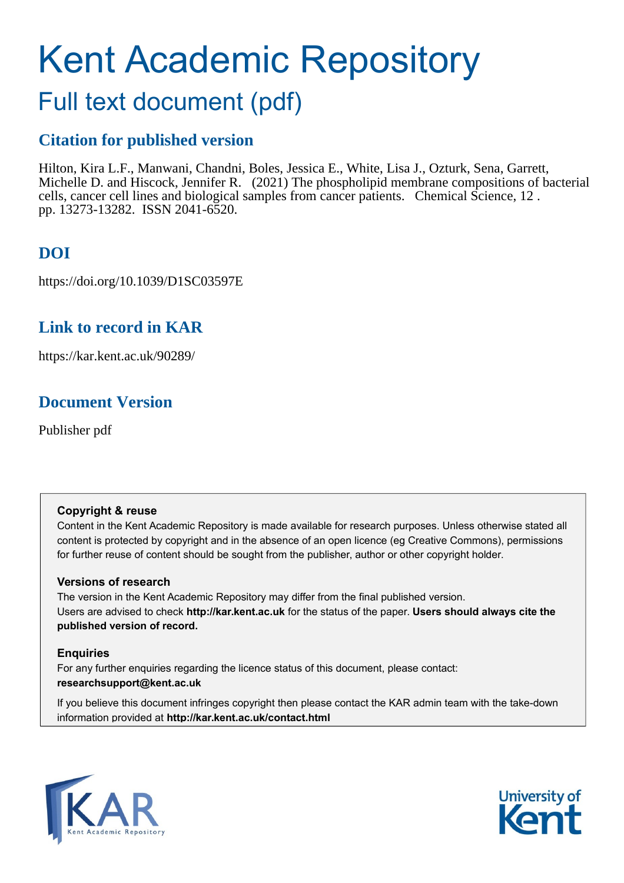# Kent Academic Repository

## Full text document (pdf)

## **Citation for published version**

Hilton, Kira L.F., Manwani, Chandni, Boles, Jessica E., White, Lisa J., Ozturk, Sena, Garrett, Michelle D. and Hiscock, Jennifer R. (2021) The phospholipid membrane compositions of bacterial cells, cancer cell lines and biological samples from cancer patients. Chemical Science, 12 . pp. 13273-13282. ISSN 2041-6520.

## **DOI**

https://doi.org/10.1039/D1SC03597E

## **Link to record in KAR**

https://kar.kent.ac.uk/90289/

## **Document Version**

Publisher pdf

### **Copyright & reuse**

Content in the Kent Academic Repository is made available for research purposes. Unless otherwise stated all content is protected by copyright and in the absence of an open licence (eg Creative Commons), permissions for further reuse of content should be sought from the publisher, author or other copyright holder.

### **Versions of research**

The version in the Kent Academic Repository may differ from the final published version. Users are advised to check **http://kar.kent.ac.uk** for the status of the paper. **Users should always cite the published version of record.**

### **Enquiries**

For any further enquiries regarding the licence status of this document, please contact: **researchsupport@kent.ac.uk**

If you believe this document infringes copyright then please contact the KAR admin team with the take-down information provided at **http://kar.kent.ac.uk/contact.html**



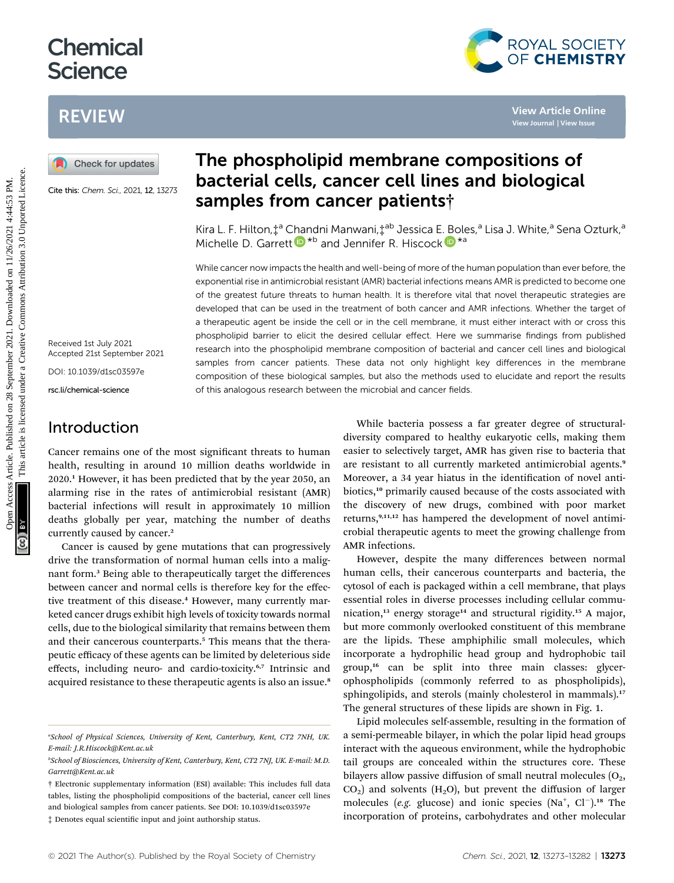## **Chemical Science**

## REVIEW



Cite this: Chem. Sci., 2021, 12, 13273

Received 1st July 2021 Accepted 21st September 2021

DOI: 10.1039/d1sc03597e rsc.li/chemical-science

### Introduction

## The phospholipid membrane compositions of bacterial cells, cancer cell lines and biological samples from cancer patients†

Kira L[.](http://orcid.org/0000-0002-1406-8802) F. Hilton,  $\ddagger^a$  Chandni Manwani,  $\ddagger^{ab}$  Jessica E. [Bo](http://orcid.org/0000-0002-1406-8802)les,<sup>a</sup> Lisa J. White,<sup>a</sup> Sena Ozturk,<sup>a</sup> Michelle D. Garre[t](http://orcid.org/0000-0002-3939-1673)t  $\mathbf{D}^{*b}$  and Jennifer R. Hiscock  $\mathbf{D}^{*a}$ 

While cancer now impacts the health and well-being of more of the human population than ever before, the exponential rise in antimicrobial resistant (AMR) bacterial infections means AMR is predicted to become one of the greatest future threats to human health. It is therefore vital that novel therapeutic strategies are developed that can be used in the treatment of both cancer and AMR infections. Whether the target of a therapeutic agent be inside the cell or in the cell membrane, it must either interact with or cross this phospholipid barrier to elicit the desired cellular effect. Here we summarise findings from published research into the phospholipid membrane composition of bacterial and cancer cell lines and biological samples from cancer patients. These data not only highlight key differences in the membrane composition of these biological samples, but also the methods used to elucidate and report the results of this analogous research between the microbial and cancer fields. **EXAMPLE MEXANDED CONSULTER CONSULTER CONSULTER CONSULTER CONSULTER CONSULTER CONSULTER CONSULTER CONSULTER CONSULTER CONSULTER CONSULTER CONSULTER CONSULTER CONSULTER CONSULTER CONSULTER CONSULTER CONSULTER CONSULTER CON** 

Cancer remains one of the most significant threats to human health, resulting in around 10 million deaths worldwide in 2020.<sup>1</sup> However, it has been predicted that by the year 2050, an alarming rise in the rates of antimicrobial resistant (AMR) bacterial infections will result in approximately 10 million deaths globally per year, matching the number of deaths currently caused by cancer.<sup>2</sup>

Cancer is caused by gene mutations that can progressively drive the transformation of normal human cells into a malignant form.<sup>3</sup> Being able to therapeutically target the differences between cancer and normal cells is therefore key for the effective treatment of this disease.<sup>4</sup> However, many currently marketed cancer drugs exhibit high levels of toxicity towards normal cells, due to the biological similarity that remains between them and their cancerous counterparts.<sup>5</sup> This means that the therapeutic efficacy of these agents can be limited by deleterious side effects, including neuro- and cardio-toxicity.<sup>6,7</sup> Intrinsic and acquired resistance to these therapeutic agents is also an issue.<sup>8</sup>

While bacteria possess a far greater degree of structuraldiversity compared to healthy eukaryotic cells, making them easier to selectively target, AMR has given rise to bacteria that are resistant to all currently marketed antimicrobial agents.<sup>9</sup> Moreover, a 34 year hiatus in the identification of novel antibiotics,<sup>10</sup> primarily caused because of the costs associated with the discovery of new drugs, combined with poor market returns,<sup>9,11,12</sup> has hampered the development of novel antimicrobial therapeutic agents to meet the growing challenge from AMR infections.

ROYAL SOCIETY<br>OF CHEMISTRY

However, despite the many differences between normal human cells, their cancerous counterparts and bacteria, the cytosol of each is packaged within a cell membrane, that plays essential roles in diverse processes including cellular communication,<sup>13</sup> energy storage<sup>14</sup> and structural rigidity.<sup>15</sup> A major, but more commonly overlooked constituent of this membrane are the lipids. These amphiphilic small molecules, which incorporate a hydrophilic head group and hydrophobic tail group,<sup>16</sup> can be split into three main classes: glycerophospholipids (commonly referred to as phospholipids), sphingolipids, and sterols (mainly cholesterol in mammals).<sup>17</sup> The general structures of these lipids are shown in Fig. 1.

Lipid molecules self-assemble, resulting in the formation of a semi-permeable bilayer, in which the polar lipid head groups interact with the aqueous environment, while the hydrophobic tail groups are concealed within the structures core. These bilayers allow passive diffusion of small neutral molecules  $(O_2,$  $CO<sub>2</sub>$ ) and solvents (H<sub>2</sub>O), but prevent the diffusion of larger molecules (e.g. glucose) and ionic species (Na<sup>+</sup>, Cl<sup>-</sup>).<sup>18</sup> The incorporation of proteins, carbohydrates and other molecular

a School of Physical Sciences, University of Kent, Canterbury, Kent, CT2 7NH, UK. E-mail: J.R.Hiscock@Kent.ac.uk

b School of Biosciences, University of Kent, Canterbury, Kent, CT2 7NJ, UK. E-mail: M.D. Garrett@Kent.ac.uk

<sup>†</sup> Electronic supplementary information (ESI) available: This includes full data tables, listing the phospholipid compositions of the bacterial, cancer cell lines and biological samples from cancer patients. See DOI: 10.1039/d1sc03597e  $\ddagger$  Denotes equal scientific input and joint authorship status.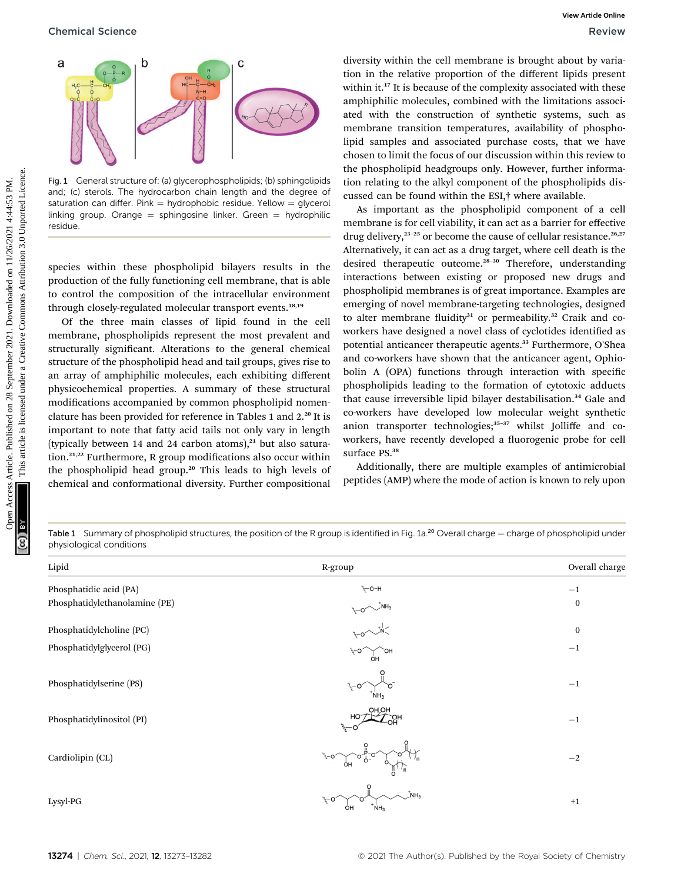Chemical Science **Review** Review **Review Review Review Review Review Review** 



Fig. 1 General structure of: (a) glycerophospholipids; (b) sphingolipids and; (c) sterols. The hydrocarbon chain length and the degree of saturation can differ. Pink = hydrophobic residue. Yellow =  $q$ lycerol linking group. Orange  $=$  sphingosine linker. Green  $=$  hydrophilic residue.

species within these phospholipid bilayers results in the production of the fully functioning cell membrane, that is able to control the composition of the intracellular environment through closely-regulated molecular transport events.<sup>18,19</sup>

Of the three main classes of lipid found in the cell membrane, phospholipids represent the most prevalent and structurally significant. Alterations to the general chemical structure of the phospholipid head and tail groups, gives rise to an array of amphiphilic molecules, each exhibiting different physicochemical properties. A summary of these structural modifications accompanied by common phospholipid nomenclature has been provided for reference in Tables 1 and 2.<sup>20</sup> It is important to note that fatty acid tails not only vary in length (typically between 14 and 24 carbon atoms), $^{21}$  but also saturation. $21,22$  Furthermore, R group modifications also occur within the phospholipid head group.<sup>20</sup> This leads to high levels of chemical and conformational diversity. Further compositional

diversity within the cell membrane is brought about by variation in the relative proportion of the different lipids present within it.<sup>17</sup> It is because of the complexity associated with these amphiphilic molecules, combined with the limitations associated with the construction of synthetic systems, such as membrane transition temperatures, availability of phospholipid samples and associated purchase costs, that we have chosen to limit the focus of our discussion within this review to the phospholipid headgroups only. However, further information relating to the alkyl component of the phospholipids discussed can be found within the ESI,† where available.

As important as the phospholipid component of a cell membrane is for cell viability, it can act as a barrier for effective drug delivery,<sup>23-25</sup> or become the cause of cellular resistance.<sup>26,27</sup> Alternatively, it can act as a drug target, where cell death is the desired therapeutic outcome.<sup>28-30</sup> Therefore, understanding interactions between existing or proposed new drugs and phospholipid membranes is of great importance. Examples are emerging of novel membrane-targeting technologies, designed to alter membrane fluidity<sup>31</sup> or permeability.<sup>32</sup> Craik and coworkers have designed a novel class of cyclotides identified as potential anticancer therapeutic agents.<sup>33</sup> Furthermore, O'Shea and co-workers have shown that the anticancer agent, Ophiobolin A (OPA) functions through interaction with specific phospholipids leading to the formation of cytotoxic adducts that cause irreversible lipid bilayer destabilisation.<sup>34</sup> Gale and co-workers have developed low molecular weight synthetic anion transporter technologies; $35-37$  whilst Jolliffe and coworkers, have recently developed a fluorogenic probe for cell surface PS.<sup>38</sup> Openical Science Week Row on 28 September 2021. The most interaction of the distribution and the train interaction of the distribution of the creative Commons are the creative Commons and a societies are the september 202

Additionally, there are multiple examples of antimicrobial peptides (AMP) where the mode of action is known to rely upon

Table 1 Summary of phospholipid structures, the position of the R group is identified in Fig. 1a.<sup>20</sup> Overall charge  $=$  charge of phospholipid under physiological conditions

| Lipid                         | R-group                                                                                                                              | Overall charge   |
|-------------------------------|--------------------------------------------------------------------------------------------------------------------------------------|------------------|
| Phosphatidic acid (PA)        | <sup>ን</sup> Σ-Ο-Η                                                                                                                   | $-1$             |
| Phosphatidylethanolamine (PE) |                                                                                                                                      | $\bf{0}$         |
| Phosphatidylcholine (PC)      | $\frac{1}{2}$<br>$\frac{1}{2}$<br>$\frac{1}{2}$<br>$\frac{1}{2}$<br>$\frac{1}{2}$<br>$\frac{1}{2}$<br>$\frac{1}{2}$<br>$\frac{1}{2}$ | $\boldsymbol{0}$ |
| Phosphatidylglycerol (PG)     | ್ಯ-೦<br>ÒН                                                                                                                           | $-1$             |
| Phosphatidylserine (PS)       | $v_{\rm c}$ - $\sigma$                                                                                                               | $-1$             |
| Phosphatidylinositol (PI)     | <b>HO,HO</b><br>HO <sup>.</sup>                                                                                                      | $-1$             |
| Cardiolipin (CL)              | $^{\circ}0^{\circ}$ <sub>0</sub> -<br>ÒН                                                                                             | $-2$             |
| Lysyl-PG                      | $\overline{M}$ NH <sub>3</sub><br>್ಯೆ–೦<br>N <sub>H3</sub><br>OH                                                                     | $+1$             |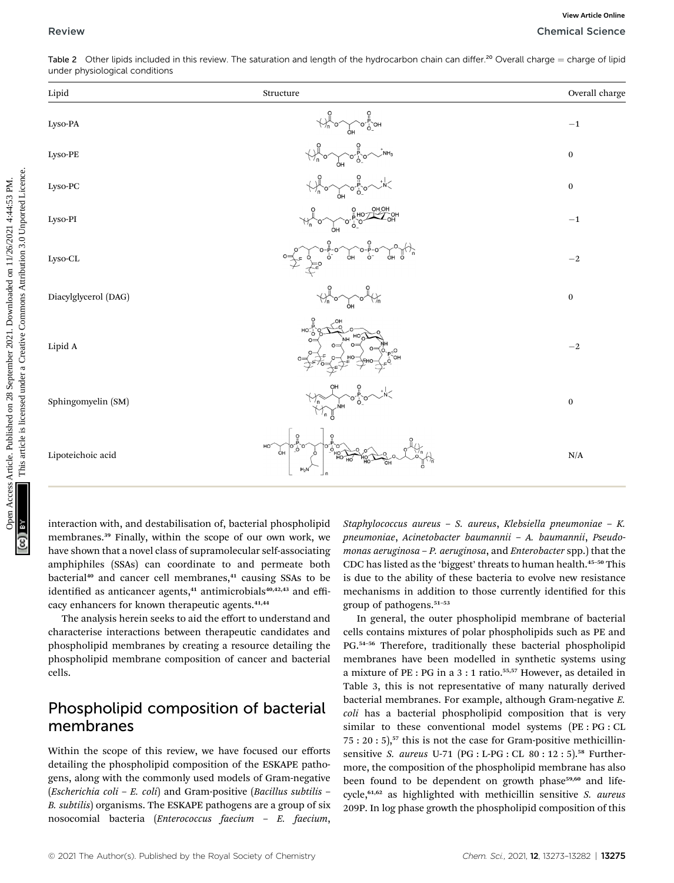| Table 2 Other lipids included in this review. The saturation and length of the hydrocarbon chain can differ. <sup>20</sup> Overall charge $=$ charge of lipid |  |  |  |
|---------------------------------------------------------------------------------------------------------------------------------------------------------------|--|--|--|
| under physiological conditions                                                                                                                                |  |  |  |

| Lipid                | Structure                                                                                                                                                                                                                                                                                                                                   | Overall charge   |
|----------------------|---------------------------------------------------------------------------------------------------------------------------------------------------------------------------------------------------------------------------------------------------------------------------------------------------------------------------------------------|------------------|
| Lyso-PA              | $\forall h \circ f$<br>$\begin{matrix} 0 & 0 \\ 0 & 0 \end{matrix}$ OH                                                                                                                                                                                                                                                                      | $-1$             |
| Lyso-PE              | $\begin{picture}(180,170) \put(0,0){\line(1,0){150}} \put(10,0){\line(1,0){150}} \put(10,0){\line(1,0){150}} \put(10,0){\line(1,0){150}} \put(10,0){\line(1,0){150}} \put(10,0){\line(1,0){150}} \put(10,0){\line(1,0){150}} \put(10,0){\line(1,0){150}} \put(10,0){\line(1,0){150}} \put(10,0){\line(1,0){150}} \put(10,0){\line(1,0){150$ | $\bf{0}$         |
| Lyso-PC              | $\bigoplus_{n=0}^{\infty} 0^n$ or $\bigoplus_{n=0}^{\infty} 0^n$                                                                                                                                                                                                                                                                            | $\bf{0}$         |
| Lyso-PI              |                                                                                                                                                                                                                                                                                                                                             | $^{-1}$          |
| Lyso-CL              | $\overline{O}$ H $\overline{O}$<br>ò <sup>-</sup><br>ÓН<br>$\dot{\mathsf{O}}^-$                                                                                                                                                                                                                                                             | $-2$             |
| Diacylglycerol (DAG) | $\sim$ o $\sim$                                                                                                                                                                                                                                                                                                                             | $\bf{0}$         |
| Lipid A              | $O=$                                                                                                                                                                                                                                                                                                                                        | $^{-2}$          |
| Sphingomyelin (SM)   |                                                                                                                                                                                                                                                                                                                                             | $\boldsymbol{0}$ |
| Lipoteichoic acid    |                                                                                                                                                                                                                                                                                                                                             | N/A              |

interaction with, and destabilisation of, bacterial phospholipid membranes.<sup>39</sup> Finally, within the scope of our own work, we have shown that a novel class of supramolecular self-associating amphiphiles (SSAs) can coordinate to and permeate both bacterial<sup>40</sup> and cancer cell membranes,<sup>41</sup> causing SSAs to be identified as anticancer agents, $41$  antimicrobials $40,42,43$  and efficacy enhancers for known therapeutic agents.<sup>41,44</sup>

The analysis herein seeks to aid the effort to understand and characterise interactions between therapeutic candidates and phospholipid membranes by creating a resource detailing the phospholipid membrane composition of cancer and bacterial cells.

### Phospholipid composition of bacterial membranes

Within the scope of this review, we have focused our efforts detailing the phospholipid composition of the ESKAPE pathogens, along with the commonly used models of Gram-negative (*Escherichia coli – E. coli*) and Gram-positive (*Bacillus subtilis –* B. subtilis) organisms. The ESKAPE pathogens are a group of six nosocomial bacteria (Enterococcus faecium – E. faecium,

Staphylococcus aureus – S. aureus, Klebsiella pneumoniae – K. pneumoniae, Acinetobacter baumannii – A. baumannii, Pseudomonas aeruginosa – P. aeruginosa, and Enterobacter spp.) that the CDC has listed as the 'biggest' threats to human health.<sup>45-50</sup> This is due to the ability of these bacteria to evolve new resistance mechanisms in addition to those currently identified for this group of pathogens.<sup>51</sup>–<sup>53</sup>

In general, the outer phospholipid membrane of bacterial cells contains mixtures of polar phospholipids such as PE and PG.<sup>54-56</sup> Therefore, traditionally these bacterial phospholipid membranes have been modelled in synthetic systems using a mixture of PE : PG in a 3 : 1 ratio.55,57 However, as detailed in Table 3, this is not representative of many naturally derived bacterial membranes. For example, although Gram-negative E. coli has a bacterial phospholipid composition that is very similar to these conventional model systems (PE : PG : CL  $75: 20: 5$ ,<sup>57</sup> this is not the case for Gram-positive methicillinsensitive S. aureus U-71 (PG : L-PG : CL 80 : 12 : 5).<sup>58</sup> Furthermore, the composition of the phospholipid membrane has also been found to be dependent on growth phase<sup>59,60</sup> and lifecycle,<sup>61,62</sup> as highlighted with methicillin sensitive S. aureus 209P. In log phase growth the phospholipid composition of this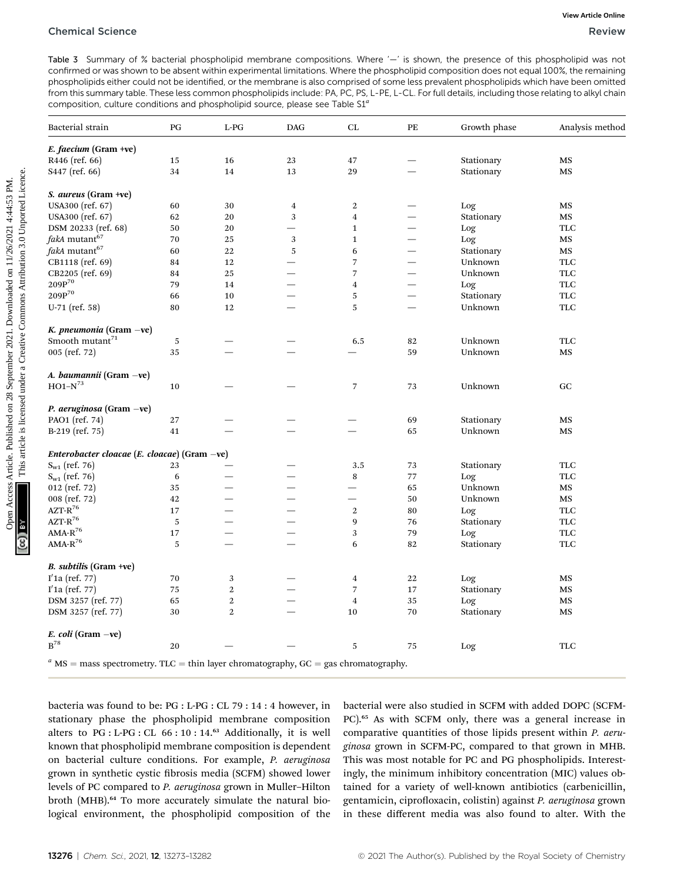| Table 3 Summary of % bacterial phospholipid membrane compositions. Where '-' is shown, the presence of this phospholipid was not<br>confirmed or was shown to be absent within experimental limitations. Where the phospholipid composition does not equal 100%, the remaining                                                                                                                   |          |                |            |                |                          |              |                   |
|--------------------------------------------------------------------------------------------------------------------------------------------------------------------------------------------------------------------------------------------------------------------------------------------------------------------------------------------------------------------------------------------------|----------|----------------|------------|----------------|--------------------------|--------------|-------------------|
| phospholipids either could not be identified, or the membrane is also comprised of some less prevalent phospholipids which have been omitted<br>from this summary table. These less common phospholipids include: PA, PC, PS, L-PE, L-CL. For full details, including those relating to alkyl chain<br>composition, culture conditions and phospholipid source, please see Table S1 <sup>a</sup> |          |                |            |                |                          |              |                   |
| Bacterial strain                                                                                                                                                                                                                                                                                                                                                                                 | PG       | $L-PG$         | <b>DAG</b> | CL             | PE                       | Growth phase | Analysis method   |
| $E.$ faecium (Gram +ve)                                                                                                                                                                                                                                                                                                                                                                          |          |                |            |                |                          |              |                   |
| R446 (ref. 66)                                                                                                                                                                                                                                                                                                                                                                                   | 15       | 16             | 23         | 47             |                          | Stationary   | MS                |
| S <sub>447</sub> (ref. 66)                                                                                                                                                                                                                                                                                                                                                                       | 34       | 14             | 13         | 29             |                          | Stationary   | MS                |
| S. aureus (Gram +ve)                                                                                                                                                                                                                                                                                                                                                                             |          |                |            |                |                          |              |                   |
| USA300 (ref. 67)                                                                                                                                                                                                                                                                                                                                                                                 | 60       | 30             | 4          | 2              |                          | Log          | MS                |
| USA300 (ref. 67)                                                                                                                                                                                                                                                                                                                                                                                 | 62       | 20             | 3          | 4              |                          | Stationary   | MS                |
| DSM 20233 (ref. 68)                                                                                                                                                                                                                                                                                                                                                                              | 50       | 20             |            | 1              |                          | Log          | TLC               |
| fakA mutant67                                                                                                                                                                                                                                                                                                                                                                                    | 70       | 25             | 3          | 1              | $\overline{\phantom{0}}$ | Log          | MS                |
| fakA mutant <sup>67</sup>                                                                                                                                                                                                                                                                                                                                                                        | 60       | 22             | 5          | 6              |                          | Stationary   | MS                |
| CB1118 (ref. 69)                                                                                                                                                                                                                                                                                                                                                                                 | 84       | 12             |            | 7              |                          | Unknown      | <b>TLC</b>        |
| CB2205 (ref. 69)                                                                                                                                                                                                                                                                                                                                                                                 |          |                |            | 7              | $\overline{\phantom{0}}$ | Unknown      | TLC               |
| $209P^{70}$                                                                                                                                                                                                                                                                                                                                                                                      | 84<br>79 | 25<br>14       |            |                |                          |              | TLC               |
| $209P^{70}$                                                                                                                                                                                                                                                                                                                                                                                      |          |                |            | 4              |                          | Log          |                   |
|                                                                                                                                                                                                                                                                                                                                                                                                  | 66       | 10             |            | 5              |                          | Stationary   | <b>TLC</b>        |
| $U-71$ (ref. 58)                                                                                                                                                                                                                                                                                                                                                                                 | 80       | 12             |            | 5              |                          | Unknown      | <b>TLC</b>        |
| K. pneumonia (Gram $-ve$ )                                                                                                                                                                                                                                                                                                                                                                       |          |                |            |                |                          |              |                   |
| Smooth mutant <sup>71</sup>                                                                                                                                                                                                                                                                                                                                                                      | 5        |                |            | 6.5            | 82                       | Unknown      | <b>TLC</b>        |
| 005 (ref. $72$ )                                                                                                                                                                                                                                                                                                                                                                                 | 35       |                |            |                | 59                       | Unknown      | MS                |
| A. baumannii (Gram -ve)                                                                                                                                                                                                                                                                                                                                                                          |          |                |            |                |                          |              |                   |
| $HO1-N^{73}$                                                                                                                                                                                                                                                                                                                                                                                     | 10       |                |            | 7              | 73                       | Unknown      | GC                |
| <i>P. aeruginosa</i> (Gram -ve)                                                                                                                                                                                                                                                                                                                                                                  |          |                |            |                |                          |              |                   |
| PAO1 (ref. 74)                                                                                                                                                                                                                                                                                                                                                                                   | 27       |                |            |                | 69                       | Stationary   | MS                |
| $B-219$ (ref. 75)                                                                                                                                                                                                                                                                                                                                                                                | 41       |                |            |                | 65                       | Unknown      | MS                |
| Enterobacter cloacae (E. cloacae) (Gram $-ve$ )                                                                                                                                                                                                                                                                                                                                                  |          |                |            |                |                          |              |                   |
| $S_{w1}$ (ref. 76)                                                                                                                                                                                                                                                                                                                                                                               | 23       |                |            | 3.5            | 73                       | Stationary   | TLC               |
| $S_{w1}$ (ref. 76)                                                                                                                                                                                                                                                                                                                                                                               | 6        |                |            | 8              | 77                       | Log          | <b>TLC</b>        |
| 012 (ref. $72)$ )                                                                                                                                                                                                                                                                                                                                                                                | 35       |                |            |                | 65                       | Unknown      | MS                |
| 008 (ref. 72)                                                                                                                                                                                                                                                                                                                                                                                    | 42       |                |            |                | 50                       | Unknown      | MS                |
| $\text{AZT-R}^{76}$                                                                                                                                                                                                                                                                                                                                                                              |          |                |            |                |                          |              |                   |
|                                                                                                                                                                                                                                                                                                                                                                                                  | 17       |                |            | 2              | 80                       | Log          | <b>TLC</b>        |
| $\text{AZT-R}^{76}$                                                                                                                                                                                                                                                                                                                                                                              | 5        |                |            | 9              | 76                       | Stationary   | TLC               |
| $\text{AMA-R}^{76}$                                                                                                                                                                                                                                                                                                                                                                              | 17       |                |            | 3              | 79                       | Log          | TLC               |
| $AMA-R^{76}$                                                                                                                                                                                                                                                                                                                                                                                     | 5        |                |            | 6              | 82                       | Stationary   | <b>TLC</b>        |
| <i>B. subtilis</i> (Gram +ve)                                                                                                                                                                                                                                                                                                                                                                    |          |                |            |                |                          |              |                   |
| $I'1a$ (ref. 77)                                                                                                                                                                                                                                                                                                                                                                                 | 70       | 3              |            | 4              | 22                       | Log          | MS                |
| $I'1a$ (ref. 77)                                                                                                                                                                                                                                                                                                                                                                                 | 75       | $\overline{2}$ |            | $\overline{7}$ | 17                       | Stationary   | MS                |
| DSM 3257 (ref. 77)                                                                                                                                                                                                                                                                                                                                                                               | 65       | $\overline{2}$ |            | 4              | 35                       | Log          | MS                |
| DSM 3257 (ref. 77)                                                                                                                                                                                                                                                                                                                                                                               | 30       | $\overline{2}$ |            | 10             | 70                       | Stationary   | MS                |
| $E.$ coli (Gram $-ve$ )                                                                                                                                                                                                                                                                                                                                                                          |          |                |            |                |                          |              |                   |
| $B^{78}$                                                                                                                                                                                                                                                                                                                                                                                         | 20       |                |            | 5              | 75                       | Log          | $_{\mathrm{TLC}}$ |

bacteria was found to be: PG : L-PG : CL 79 : 14 : 4 however, in stationary phase the phospholipid membrane composition alters to PG : L-PG : CL 66 : 10 : 14.<sup>63</sup> Additionally, it is well known that phospholipid membrane composition is dependent on bacterial culture conditions. For example, P. aeruginosa grown in synthetic cystic brosis media (SCFM) showed lower levels of PC compared to P. aeruginosa grown in Muller–Hilton broth (MHB).<sup>64</sup> To more accurately simulate the natural biological environment, the phospholipid composition of the

bacterial were also studied in SCFM with added DOPC (SCFM-PC).<sup>65</sup> As with SCFM only, there was a general increase in comparative quantities of those lipids present within P. aeruginosa grown in SCFM-PC, compared to that grown in MHB. This was most notable for PC and PG phospholipids. Interestingly, the minimum inhibitory concentration (MIC) values obtained for a variety of well-known antibiotics (carbenicillin, gentamicin, ciprofloxacin, colistin) against P. aeruginosa grown in these different media was also found to alter. With the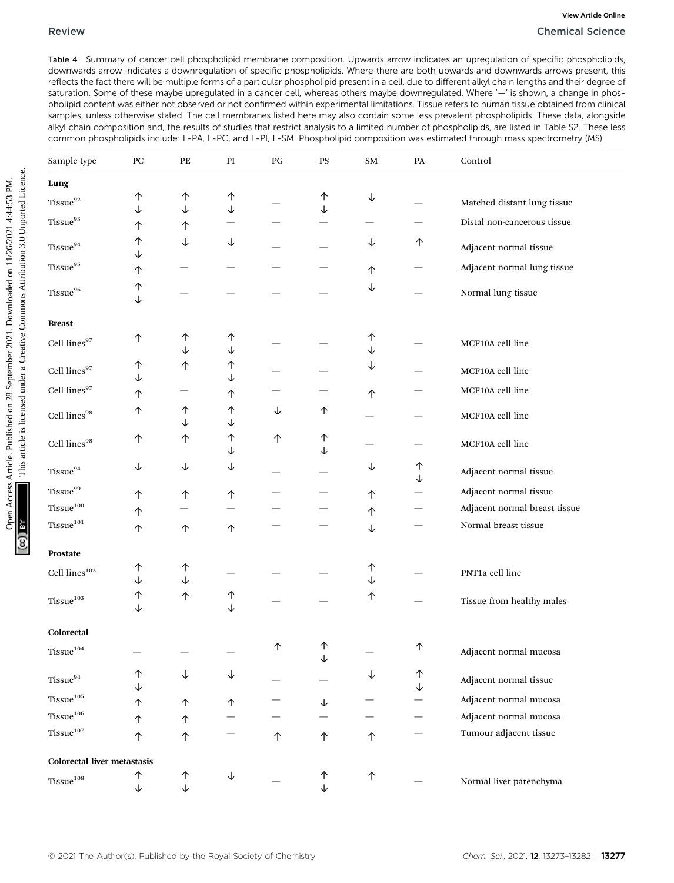|                                    |              |        |        |    |    |            |    | downwards arrow indicates a downregulation of specific phospholipids. Where there are both upwards and downwards arrows present, this<br>reflects the fact there will be multiple forms of a particular phospholipid present in a cell, due to different alkyl chain lengths and their degree o<br>saturation. Some of these maybe upregulated in a cancer cell, whereas others maybe downregulated. Where '-' is shown, a change in phos-<br>pholipid content was either not observed or not confirmed within experimental limitations. Tissue refers to human tissue obtained from clinica<br>samples, unless otherwise stated. The cell membranes listed here may also contain some less prevalent phospholipids. These data, alongside<br>alkyl chain composition and, the results of studies that restrict analysis to a limited number of phospholipids, are listed in Table S2. These les<br>common phospholipids include: L-PA, L-PC, and L-PI, L-SM. Phospholipid composition was estimated through mass spectrometry (MS) |
|------------------------------------|--------------|--------|--------|----|----|------------|----|-------------------------------------------------------------------------------------------------------------------------------------------------------------------------------------------------------------------------------------------------------------------------------------------------------------------------------------------------------------------------------------------------------------------------------------------------------------------------------------------------------------------------------------------------------------------------------------------------------------------------------------------------------------------------------------------------------------------------------------------------------------------------------------------------------------------------------------------------------------------------------------------------------------------------------------------------------------------------------------------------------------------------------------|
| Sample type                        | PC           | PЕ     | PI     | PG | PS | SM         | PA | Control                                                                                                                                                                                                                                                                                                                                                                                                                                                                                                                                                                                                                                                                                                                                                                                                                                                                                                                                                                                                                             |
| Lung                               |              |        |        |    |    |            |    |                                                                                                                                                                                                                                                                                                                                                                                                                                                                                                                                                                                                                                                                                                                                                                                                                                                                                                                                                                                                                                     |
| Tissue <sup>92</sup>               | ↑            | 个      | 个      |    | ↑  | ↓          |    | Matched distant lung tissue                                                                                                                                                                                                                                                                                                                                                                                                                                                                                                                                                                                                                                                                                                                                                                                                                                                                                                                                                                                                         |
| Tissue <sup>93</sup>               | ↓<br>↑       | ↓<br>个 | ↓      |    |    |            |    | Distal non-cancerous tissue                                                                                                                                                                                                                                                                                                                                                                                                                                                                                                                                                                                                                                                                                                                                                                                                                                                                                                                                                                                                         |
|                                    | ↑            | ↓      | ↓      |    |    | ↓          | 个  |                                                                                                                                                                                                                                                                                                                                                                                                                                                                                                                                                                                                                                                                                                                                                                                                                                                                                                                                                                                                                                     |
| Tissue <sup>94</sup>               | ↓            |        |        |    |    |            |    | Adjacent normal tissue                                                                                                                                                                                                                                                                                                                                                                                                                                                                                                                                                                                                                                                                                                                                                                                                                                                                                                                                                                                                              |
| Tissue <sup>95</sup>               | 个            |        |        |    |    | 个          |    | Adjacent normal lung tissue                                                                                                                                                                                                                                                                                                                                                                                                                                                                                                                                                                                                                                                                                                                                                                                                                                                                                                                                                                                                         |
| Tissue <sup>96</sup>               | ↑<br>↓       |        |        |    |    | ↓          |    | Normal lung tissue                                                                                                                                                                                                                                                                                                                                                                                                                                                                                                                                                                                                                                                                                                                                                                                                                                                                                                                                                                                                                  |
| <b>Breast</b>                      |              |        |        |    |    |            |    |                                                                                                                                                                                                                                                                                                                                                                                                                                                                                                                                                                                                                                                                                                                                                                                                                                                                                                                                                                                                                                     |
| Cell lines97                       | ↑            | ↑<br>↓ | ↑<br>↓ |    |    | ↑<br>↓     |    | MCF10A cell line                                                                                                                                                                                                                                                                                                                                                                                                                                                                                                                                                                                                                                                                                                                                                                                                                                                                                                                                                                                                                    |
| Cell lines97                       | ↑            | ↑      | ↑      |    |    | ↓          |    | MCF10A cell line                                                                                                                                                                                                                                                                                                                                                                                                                                                                                                                                                                                                                                                                                                                                                                                                                                                                                                                                                                                                                    |
| Cell lines97                       | ↓            |        | ↓      |    |    |            |    |                                                                                                                                                                                                                                                                                                                                                                                                                                                                                                                                                                                                                                                                                                                                                                                                                                                                                                                                                                                                                                     |
|                                    | 个            |        | ↑      |    |    | 个          |    | MCF10A cell line                                                                                                                                                                                                                                                                                                                                                                                                                                                                                                                                                                                                                                                                                                                                                                                                                                                                                                                                                                                                                    |
| Cell $\operatorname{lines}^{98}$   | ↑            | ↑<br>↓ | ↑<br>↓ | ↓  | ↑  |            |    | MCF10A cell line                                                                                                                                                                                                                                                                                                                                                                                                                                                                                                                                                                                                                                                                                                                                                                                                                                                                                                                                                                                                                    |
|                                    | ↑            | ↑      | ↑      | ↑  | ↑  |            |    |                                                                                                                                                                                                                                                                                                                                                                                                                                                                                                                                                                                                                                                                                                                                                                                                                                                                                                                                                                                                                                     |
| Cell lines98                       |              |        | ↓      |    |    |            |    | MCF10A cell line                                                                                                                                                                                                                                                                                                                                                                                                                                                                                                                                                                                                                                                                                                                                                                                                                                                                                                                                                                                                                    |
| $Tissue^{94}$                      | ↓            | ↓      | ↓      |    |    | ↓          | ↑  | Adjacent normal tissue                                                                                                                                                                                                                                                                                                                                                                                                                                                                                                                                                                                                                                                                                                                                                                                                                                                                                                                                                                                                              |
| Tissue <sup>99</sup>               |              |        |        |    |    | 个          | ↓  | Adjacent normal tissue                                                                                                                                                                                                                                                                                                                                                                                                                                                                                                                                                                                                                                                                                                                                                                                                                                                                                                                                                                                                              |
| Tissue <sup>100</sup>              | ↑<br>个       | 个      | 个      |    |    | 个          |    | Adjacent normal breast tissue                                                                                                                                                                                                                                                                                                                                                                                                                                                                                                                                                                                                                                                                                                                                                                                                                                                                                                                                                                                                       |
| $\mathrm{Tissue}^{101}$            | ↑            | 个      | ↑      |    |    |            |    | Normal breast tissue                                                                                                                                                                                                                                                                                                                                                                                                                                                                                                                                                                                                                                                                                                                                                                                                                                                                                                                                                                                                                |
|                                    |              |        |        |    |    |            |    |                                                                                                                                                                                                                                                                                                                                                                                                                                                                                                                                                                                                                                                                                                                                                                                                                                                                                                                                                                                                                                     |
| Prostate                           |              |        |        |    |    |            |    |                                                                                                                                                                                                                                                                                                                                                                                                                                                                                                                                                                                                                                                                                                                                                                                                                                                                                                                                                                                                                                     |
| Cell $\operatorname{lines}^{102}$  | ↑<br>↓       | 个<br>↓ |        |    |    |            |    | PNT1a cell line                                                                                                                                                                                                                                                                                                                                                                                                                                                                                                                                                                                                                                                                                                                                                                                                                                                                                                                                                                                                                     |
|                                    | ↑            | 个      | ↑      |    |    | ↑          |    |                                                                                                                                                                                                                                                                                                                                                                                                                                                                                                                                                                                                                                                                                                                                                                                                                                                                                                                                                                                                                                     |
| $\mathrm{Tissue}^{103}$            |              |        |        |    |    |            |    | Tissue from healthy males                                                                                                                                                                                                                                                                                                                                                                                                                                                                                                                                                                                                                                                                                                                                                                                                                                                                                                                                                                                                           |
| Colorectal                         |              |        |        |    |    |            |    |                                                                                                                                                                                                                                                                                                                                                                                                                                                                                                                                                                                                                                                                                                                                                                                                                                                                                                                                                                                                                                     |
| Tissue $104$                       |              |        |        | ↑  |    |            | 个  | Adjacent normal mucosa                                                                                                                                                                                                                                                                                                                                                                                                                                                                                                                                                                                                                                                                                                                                                                                                                                                                                                                                                                                                              |
| $\mathrm{Tissue}^{94}$             | ↑            | ↓      |        |    |    |            | 个  | Adjacent normal tissue                                                                                                                                                                                                                                                                                                                                                                                                                                                                                                                                                                                                                                                                                                                                                                                                                                                                                                                                                                                                              |
| Tissue <sup>105</sup>              | 个            | 个      | 个      |    |    |            |    | Adjacent normal mucosa                                                                                                                                                                                                                                                                                                                                                                                                                                                                                                                                                                                                                                                                                                                                                                                                                                                                                                                                                                                                              |
| $Tissue^{106}$                     | 个            | ↑      |        |    |    |            |    | Adjacent normal mucosa                                                                                                                                                                                                                                                                                                                                                                                                                                                                                                                                                                                                                                                                                                                                                                                                                                                                                                                                                                                                              |
| Tissue <sup>107</sup>              | ↑            | 个      |        | 个  | 个  | ↑          |    | Tumour adjacent tissue                                                                                                                                                                                                                                                                                                                                                                                                                                                                                                                                                                                                                                                                                                                                                                                                                                                                                                                                                                                                              |
| <b>Colorectal liver metastasis</b> |              |        |        |    |    |            |    |                                                                                                                                                                                                                                                                                                                                                                                                                                                                                                                                                                                                                                                                                                                                                                                                                                                                                                                                                                                                                                     |
|                                    | ↑            | ↑      | ↓      |    | ↑  | $\uparrow$ |    |                                                                                                                                                                                                                                                                                                                                                                                                                                                                                                                                                                                                                                                                                                                                                                                                                                                                                                                                                                                                                                     |
| $\mathrm{Tissue}^{\mathrm{108}}$   | $\downarrow$ | ↓      |        |    |    |            |    | Normal liver parenchyma                                                                                                                                                                                                                                                                                                                                                                                                                                                                                                                                                                                                                                                                                                                                                                                                                                                                                                                                                                                                             |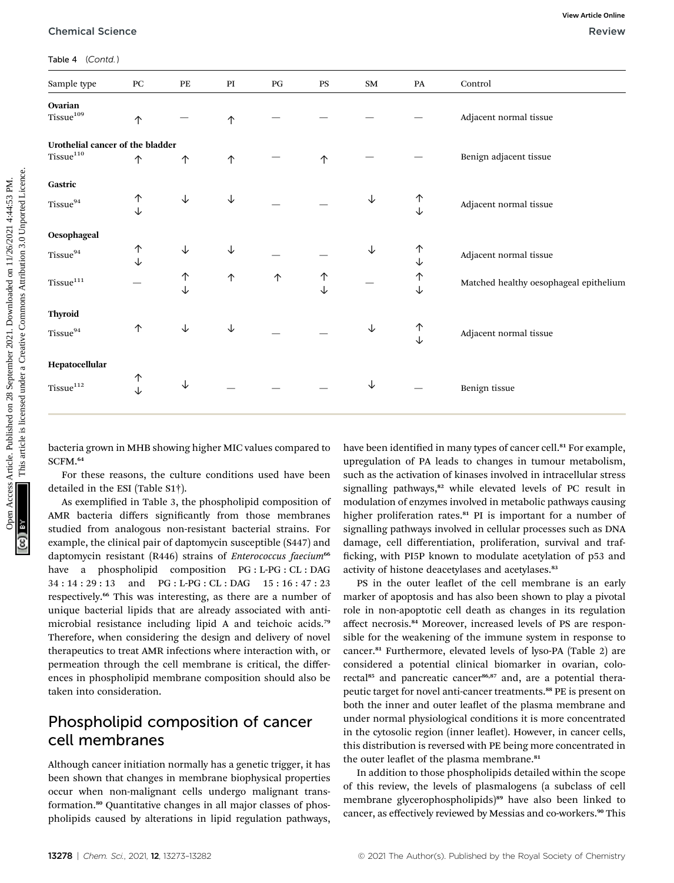| Sample type                                             | PC                                                                                                                                | PE | PI | PG | PS     | SM | PA     | Control                                                                                                                                                                                                                                                                                                       |
|---------------------------------------------------------|-----------------------------------------------------------------------------------------------------------------------------------|----|----|----|--------|----|--------|---------------------------------------------------------------------------------------------------------------------------------------------------------------------------------------------------------------------------------------------------------------------------------------------------------------|
| Ovarian<br>Tissue <sup>109</sup>                        | 个                                                                                                                                 |    | 个  |    |        |    |        | Adjacent normal tissue                                                                                                                                                                                                                                                                                        |
| Urothelial cancer of the bladder                        |                                                                                                                                   |    |    |    |        |    |        |                                                                                                                                                                                                                                                                                                               |
| $Tissue^{110}$                                          | ↑                                                                                                                                 | 个  | 个  |    | 个      |    |        | Benign adjacent tissue                                                                                                                                                                                                                                                                                        |
| Gastric                                                 |                                                                                                                                   |    |    |    |        |    |        |                                                                                                                                                                                                                                                                                                               |
| Tissue <sup>94</sup>                                    | ↑                                                                                                                                 | ↓  | ↓  |    |        | ↓  | ↑      | Adjacent normal tissue                                                                                                                                                                                                                                                                                        |
|                                                         | ↓                                                                                                                                 |    |    |    |        |    | ↓      |                                                                                                                                                                                                                                                                                                               |
| Oesophageal                                             |                                                                                                                                   |    |    |    |        |    |        |                                                                                                                                                                                                                                                                                                               |
| $Tissue^{94}$                                           | ↑                                                                                                                                 | ↓  | ↓  |    |        | ↓  | 个      | Adjacent normal tissue                                                                                                                                                                                                                                                                                        |
|                                                         |                                                                                                                                   |    |    |    |        |    | ↓      |                                                                                                                                                                                                                                                                                                               |
| Tissue <sup>111</sup>                                   |                                                                                                                                   | ↑  | 个  | ↑  | ↑<br>↓ |    | ↑<br>↓ | Matched healthy oesophageal epithelium                                                                                                                                                                                                                                                                        |
|                                                         |                                                                                                                                   |    |    |    |        |    |        |                                                                                                                                                                                                                                                                                                               |
| <b>Thyroid</b>                                          |                                                                                                                                   |    |    |    |        |    |        |                                                                                                                                                                                                                                                                                                               |
| Tissue <sup>94</sup>                                    | ↑                                                                                                                                 | ↓  | ↓  |    |        | ↓  | ↑<br>↓ | Adjacent normal tissue                                                                                                                                                                                                                                                                                        |
|                                                         |                                                                                                                                   |    |    |    |        |    |        |                                                                                                                                                                                                                                                                                                               |
| Hepatocellular                                          |                                                                                                                                   |    |    |    |        |    |        |                                                                                                                                                                                                                                                                                                               |
| Tissue <sup>112</sup>                                   |                                                                                                                                   | ↓  |    |    |        | ↓  |        |                                                                                                                                                                                                                                                                                                               |
| SCFM. <sup>64</sup><br>detailed in the ESI (Table S1†). | ↑<br>↓<br>bacteria grown in MHB showing higher MIC values compared to<br>For these reasons, the culture conditions used have been |    |    |    |        |    |        | Benign tissue<br>have been identified in many types of cancer cell. <sup>81</sup> For example,<br>upregulation of PA leads to changes in tumour metabolism,<br>such as the activation of kinases involved in intracellular stress<br>signalling pathways, <sup>82</sup> while elevated levels of PC result in |

As exemplified in Table 3, the phospholipid composition of AMR bacteria differs significantly from those membranes studied from analogous non-resistant bacterial strains. For example, the clinical pair of daptomycin susceptible (S447) and daptomycin resistant (R446) strains of Enterococcus faecium<sup>66</sup> have a phospholipid composition PG : L-PG : CL : DAG 34 : 14 : 29 : 13 and PG : L-PG : CL : DAG 15 : 16 : 47 : 23 respectively.<sup>66</sup> This was interesting, as there are a number of unique bacterial lipids that are already associated with antimicrobial resistance including lipid A and teichoic acids.<sup>79</sup> Therefore, when considering the design and delivery of novel therapeutics to treat AMR infections where interaction with, or permeation through the cell membrane is critical, the differences in phospholipid membrane composition should also be taken into consideration.

## Phospholipid composition of cancer cell membranes

Although cancer initiation normally has a genetic trigger, it has been shown that changes in membrane biophysical properties occur when non-malignant cells undergo malignant transformation.<sup>80</sup> Quantitative changes in all major classes of phospholipids caused by alterations in lipid regulation pathways,

have been identified in many types of cancer cell.<sup>81</sup> For example, upregulation of PA leads to changes in tumour metabolism, such as the activation of kinases involved in intracellular stress signalling pathways,<sup>82</sup> while elevated levels of PC result in modulation of enzymes involved in metabolic pathways causing higher proliferation rates.<sup>81</sup> PI is important for a number of signalling pathways involved in cellular processes such as DNA damage, cell differentiation, proliferation, survival and traf ficking, with PI5P known to modulate acetylation of p53 and activity of histone deacetylases and acetylases.<sup>83</sup>

PS in the outer leaflet of the cell membrane is an early marker of apoptosis and has also been shown to play a pivotal role in non-apoptotic cell death as changes in its regulation affect necrosis.<sup>84</sup> Moreover, increased levels of PS are responsible for the weakening of the immune system in response to cancer.<sup>81</sup> Furthermore, elevated levels of lyso-PA (Table 2) are considered a potential clinical biomarker in ovarian, colorectal<sup>85</sup> and pancreatic cancer<sup>86,87</sup> and, are a potential therapeutic target for novel anti-cancer treatments.<sup>88</sup> PE is present on both the inner and outer leaflet of the plasma membrane and under normal physiological conditions it is more concentrated in the cytosolic region (inner leaflet). However, in cancer cells, this distribution is reversed with PE being more concentrated in the outer leaflet of the plasma membrane.<sup>81</sup>

In addition to those phospholipids detailed within the scope of this review, the levels of plasmalogens (a subclass of cell membrane glycerophospholipids)<sup>89</sup> have also been linked to cancer, as effectively reviewed by Messias and co-workers.<sup>90</sup> This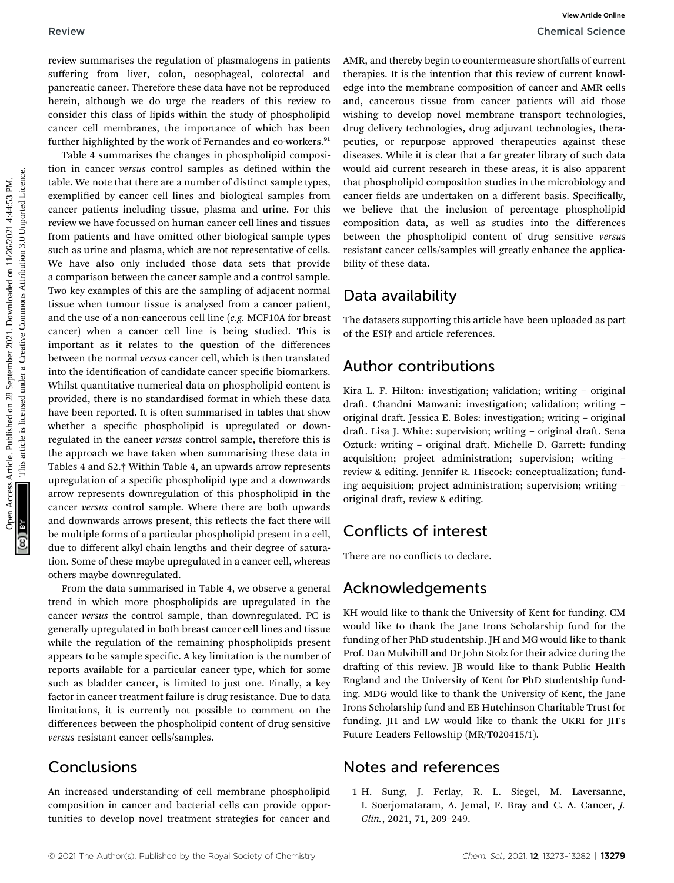review summarises the regulation of plasmalogens in patients suffering from liver, colon, oesophageal, colorectal and pancreatic cancer. Therefore these data have not be reproduced herein, although we do urge the readers of this review to consider this class of lipids within the study of phospholipid cancer cell membranes, the importance of which has been further highlighted by the work of Fernandes and co-workers.<sup>91</sup>

Table 4 summarises the changes in phospholipid composition in cancer versus control samples as defined within the table. We note that there are a number of distinct sample types, exemplified by cancer cell lines and biological samples from cancer patients including tissue, plasma and urine. For this review we have focussed on human cancer cell lines and tissues from patients and have omitted other biological sample types such as urine and plasma, which are not representative of cells. We have also only included those data sets that provide a comparison between the cancer sample and a control sample. Two key examples of this are the sampling of adjacent normal tissue when tumour tissue is analysed from a cancer patient, and the use of a non-cancerous cell line (e.g. MCF10A for breast cancer) when a cancer cell line is being studied. This is important as it relates to the question of the differences between the normal versus cancer cell, which is then translated into the identification of candidate cancer specific biomarkers. Whilst quantitative numerical data on phospholipid content is provided, there is no standardised format in which these data have been reported. It is often summarised in tables that show whether a specific phospholipid is upregulated or downregulated in the cancer versus control sample, therefore this is the approach we have taken when summarising these data in Tables 4 and S2.† Within Table 4, an upwards arrow represents upregulation of a specific phospholipid type and a downwards arrow represents downregulation of this phospholipid in the cancer versus control sample. Where there are both upwards and downwards arrows present, this reflects the fact there will be multiple forms of a particular phospholipid present in a cell, due to different alkyl chain lengths and their degree of saturation. Some of these maybe upregulated in a cancer cell, whereas others maybe downregulated. Review Commutines the regalation of plasmagears in patients. And thereby begin to contrast article control and the control and the control and the september 2021. Downloaded the september 2021. Downloaded in this article

From the data summarised in Table 4, we observe a general trend in which more phospholipids are upregulated in the cancer versus the control sample, than downregulated. PC is generally upregulated in both breast cancer cell lines and tissue while the regulation of the remaining phospholipids present appears to be sample specific. A key limitation is the number of reports available for a particular cancer type, which for some such as bladder cancer, is limited to just one. Finally, a key factor in cancer treatment failure is drug resistance. Due to data limitations, it is currently not possible to comment on the differences between the phospholipid content of drug sensitive versus resistant cancer cells/samples.

### Conclusions

An increased understanding of cell membrane phospholipid composition in cancer and bacterial cells can provide opportunities to develop novel treatment strategies for cancer and AMR, and thereby begin to countermeasure shortfalls of current therapies. It is the intention that this review of current knowledge into the membrane composition of cancer and AMR cells and, cancerous tissue from cancer patients will aid those wishing to develop novel membrane transport technologies, drug delivery technologies, drug adjuvant technologies, therapeutics, or repurpose approved therapeutics against these diseases. While it is clear that a far greater library of such data would aid current research in these areas, it is also apparent that phospholipid composition studies in the microbiology and cancer fields are undertaken on a different basis. Specifically, we believe that the inclusion of percentage phospholipid composition data, as well as studies into the differences between the phospholipid content of drug sensitive versus resistant cancer cells/samples will greatly enhance the applicability of these data.

## Data availability

The datasets supporting this article have been uploaded as part of the ESI† and article references.

## Author contributions

Kira L. F. Hilton: investigation; validation; writing – original draft. Chandni Manwani: investigation; validation; writing original draft. Jessica E. Boles: investigation; writing - original draft. Lisa J. White: supervision; writing - original draft. Sena Ozturk: writing - original draft. Michelle D. Garrett: funding acquisition; project administration; supervision; writing – review & editing. Jennifer R. Hiscock: conceptualization; funding acquisition; project administration; supervision; writing – original draft, review & editing.

## Conflicts of interest

There are no conflicts to declare.

### Acknowledgements

KH would like to thank the University of Kent for funding. CM would like to thank the Jane Irons Scholarship fund for the funding of her PhD studentship. JH and MG would like to thank Prof. Dan Mulvihill and Dr John Stolz for their advice during the drafting of this review. JB would like to thank Public Health England and the University of Kent for PhD studentship funding. MDG would like to thank the University of Kent, the Jane Irons Scholarship fund and EB Hutchinson Charitable Trust for funding. JH and LW would like to thank the UKRI for JH's Future Leaders Fellowship (MR/T020415/1).

### Notes and references

1 H. Sung, J. Ferlay, R. L. Siegel, M. Laversanne, I. Soerjomataram, A. Jemal, F. Bray and C. A. Cancer, J. Clin., 2021, 71, 209–249.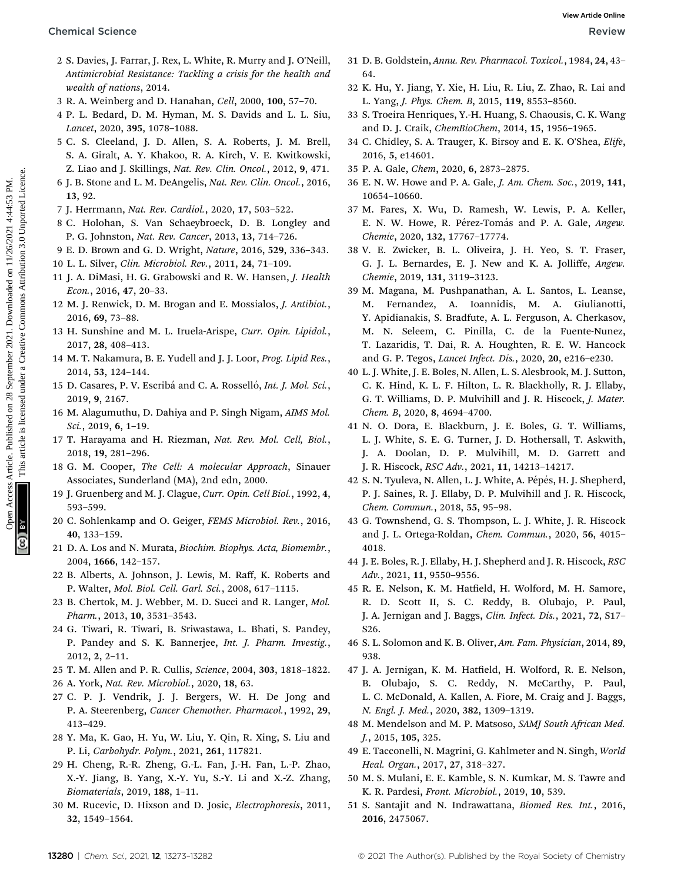- 2 S. Davies, J. Farrar, J. Rex, L. White, R. Murry and J. O'Neill, Antimicrobial Resistance: Tackling a crisis for the health and wealth of nations, 2014.
- 3 R. A. Weinberg and D. Hanahan, Cell, 2000, 100, 57–70.
- 4 P. L. Bedard, D. M. Hyman, M. S. Davids and L. L. Siu, Lancet, 2020, 395, 1078–1088.
- 5 C. S. Cleeland, J. D. Allen, S. A. Roberts, J. M. Brell, S. A. Giralt, A. Y. Khakoo, R. A. Kirch, V. E. Kwitkowski, Z. Liao and J. Skillings, Nat. Rev. Clin. Oncol., 2012, 9, 471.
- 6 J. B. Stone and L. M. DeAngelis, Nat. Rev. Clin. Oncol., 2016, 13, 92.
- 7 J. Herrmann, Nat. Rev. Cardiol., 2020, 17, 503–522.
- 8 C. Holohan, S. Van Schaeybroeck, D. B. Longley and P. G. Johnston, Nat. Rev. Cancer, 2013, 13, 714–726.
- 9 E. D. Brown and G. D. Wright, Nature, 2016, 529, 336–343.
- 10 L. L. Silver, Clin. Microbiol. Rev., 2011, 24, 71–109.
- 11 J. A. DiMasi, H. G. Grabowski and R. W. Hansen, J. Health Econ., 2016, 47, 20–33.
- 12 M. J. Renwick, D. M. Brogan and E. Mossialos, J. Antibiot., 2016, 69, 73–88.
- 13 H. Sunshine and M. L. Iruela-Arispe, Curr. Opin. Lipidol., 2017, 28, 408–413.
- 14 M. T. Nakamura, B. E. Yudell and J. J. Loor, Prog. Lipid Res., 2014, 53, 124–144.
- 15 D. Casares, P. V. Escribá and C. A. Rosselló, Int. J. Mol. Sci., 2019, 9, 2167.
- 16 M. Alagumuthu, D. Dahiya and P. Singh Nigam, AIMS Mol. Sci., 2019, 6, 1–19.
- 17 T. Harayama and H. Riezman, Nat. Rev. Mol. Cell, Biol., 2018, 19, 281–296.
- 18 G. M. Cooper, The Cell: A molecular Approach, Sinauer Associates, Sunderland (MA), 2nd edn, 2000.
- 19 J. Gruenberg and M. J. Clague, Curr. Opin. Cell Biol., 1992, 4, 593–599.
- 20 C. Sohlenkamp and O. Geiger, FEMS Microbiol. Rev., 2016, 40, 133–159.
- 21 D. A. Los and N. Murata, Biochim. Biophys. Acta, Biomembr., 2004, 1666, 142–157.
- 22 B. Alberts, A. Johnson, J. Lewis, M. Raff, K. Roberts and P. Walter, Mol. Biol. Cell. Garl. Sci., 2008, 617–1115.
- 23 B. Chertok, M. J. Webber, M. D. Succi and R. Langer, Mol. Pharm., 2013, 10, 3531–3543.
- 24 G. Tiwari, R. Tiwari, B. Sriwastawa, L. Bhati, S. Pandey, P. Pandey and S. K. Bannerjee, Int. J. Pharm. Investig., 2012, 2, 2–11.
- 25 T. M. Allen and P. R. Cullis, Science, 2004, 303, 1818–1822.
- 26 A. York, Nat. Rev. Microbiol., 2020, 18, 63.
- 27 C. P. J. Vendrik, J. J. Bergers, W. H. De Jong and P. A. Steerenberg, Cancer Chemother. Pharmacol., 1992, 29, 413–429.
- 28 Y. Ma, K. Gao, H. Yu, W. Liu, Y. Qin, R. Xing, S. Liu and P. Li, Carbohydr. Polym., 2021, 261, 117821.
- 29 H. Cheng, R.-R. Zheng, G.-L. Fan, J.-H. Fan, L.-P. Zhao, X.-Y. Jiang, B. Yang, X.-Y. Yu, S.-Y. Li and X.-Z. Zhang, Biomaterials, 2019, 188, 1–11.
- 30 M. Rucevic, D. Hixson and D. Josic, Electrophoresis, 2011, 32, 1549–1564.
- 31 D. B. Goldstein, Annu. Rev. Pharmacol. Toxicol., 1984, 24, 43– 64.
- 32 K. Hu, Y. Jiang, Y. Xie, H. Liu, R. Liu, Z. Zhao, R. Lai and L. Yang, J. Phys. Chem. B, 2015, 119, 8553–8560.
- 33 S. Troeira Henriques, Y.-H. Huang, S. Chaousis, C. K. Wang and D. J. Craik, ChemBioChem, 2014, 15, 1956–1965.
- 34 C. Chidley, S. A. Trauger, K. Birsoy and E. K. O'Shea, Elife, 2016, 5, e14601.
- 35 P. A. Gale, Chem, 2020, 6, 2873–2875.
- 36 E. N. W. Howe and P. A. Gale, J. Am. Chem. Soc., 2019, 141, 10654–10660.
- 37 M. Fares, X. Wu, D. Ramesh, W. Lewis, P. A. Keller, E. N. W. Howe, R. Pérez-Tomás and P. A. Gale, Angew. Chemie, 2020, 132, 17767–17774.
- 38 V. E. Zwicker, B. L. Oliveira, J. H. Yeo, S. T. Fraser, G. J. L. Bernardes, E. J. New and K. A. Jolliffe, Angew. Chemie, 2019, 131, 3119–3123.
- 39 M. Magana, M. Pushpanathan, A. L. Santos, L. Leanse, M. Fernandez, A. Ioannidis, M. A. Giulianotti, Y. Apidianakis, S. Bradfute, A. L. Ferguson, A. Cherkasov, M. N. Seleem, C. Pinilla, C. de la Fuente-Nunez, T. Lazaridis, T. Dai, R. A. Houghten, R. E. W. Hancock and G. P. Tegos, Lancet Infect. Dis., 2020, 20, e216–e230. Chemical Science<br>
2 S. Davis, J. Natur, J. Natur, J. Natur, J. Natur, J. Natur, J. Natur, J. Natur, J. Natur, J. Natur, J. Natur, J. Natur, J. Natur, J. Natur, J. Natur, J. Natur, J. Natur, J. Natur, J. Natur, J. Natur, J
	- 40 L. J. White, J. E. Boles, N. Allen, L. S. Alesbrook, M. J. Sutton, C. K. Hind, K. L. F. Hilton, L. R. Blackholly, R. J. Ellaby, G. T. Williams, D. P. Mulvihill and J. R. Hiscock, J. Mater. Chem. B, 2020, 8, 4694–4700.
	- 41 N. O. Dora, E. Blackburn, J. E. Boles, G. T. Williams, L. J. White, S. E. G. Turner, J. D. Hothersall, T. Askwith, J. A. Doolan, D. P. Mulvihill, M. D. Garrett and J. R. Hiscock, RSC Adv., 2021, 11, 14213–14217.
	- 42 S. N. Tyuleva, N. Allen, L. J. White, A. Pépés, H. J. Shepherd, P. J. Saines, R. J. Ellaby, D. P. Mulvihill and J. R. Hiscock, Chem. Commun., 2018, 55, 95–98.
	- 43 G. Townshend, G. S. Thompson, L. J. White, J. R. Hiscock and J. L. Ortega-Roldan, Chem. Commun., 2020, 56, 4015– 4018.
	- 44 J. E. Boles, R. J. Ellaby, H. J. Shepherd and J. R. Hiscock, RSC Adv., 2021, 11, 9550–9556.
	- 45 R. E. Nelson, K. M. Hatfield, H. Wolford, M. H. Samore, R. D. Scott II, S. C. Reddy, B. Olubajo, P. Paul, J. A. Jernigan and J. Baggs, Clin. Infect. Dis., 2021, 72, S17– S26.
	- 46 S. L. Solomon and K. B. Oliver, Am. Fam. Physician, 2014, 89, 938.
	- 47 J. A. Jernigan, K. M. Hatfield, H. Wolford, R. E. Nelson, B. Olubajo, S. C. Reddy, N. McCarthy, P. Paul, L. C. McDonald, A. Kallen, A. Fiore, M. Craig and J. Baggs, N. Engl. J. Med., 2020, 382, 1309–1319.
	- 48 M. Mendelson and M. P. Matsoso, SAMJ South African Med. J., 2015, 105, 325.
	- 49 E. Tacconelli, N. Magrini, G. Kahlmeter and N. Singh, World Heal. Organ., 2017, 27, 318–327.
	- 50 M. S. Mulani, E. E. Kamble, S. N. Kumkar, M. S. Tawre and K. R. Pardesi, Front. Microbiol., 2019, 10, 539.
	- 51 S. Santajit and N. Indrawattana, Biomed Res. Int., 2016, 2016, 2475067.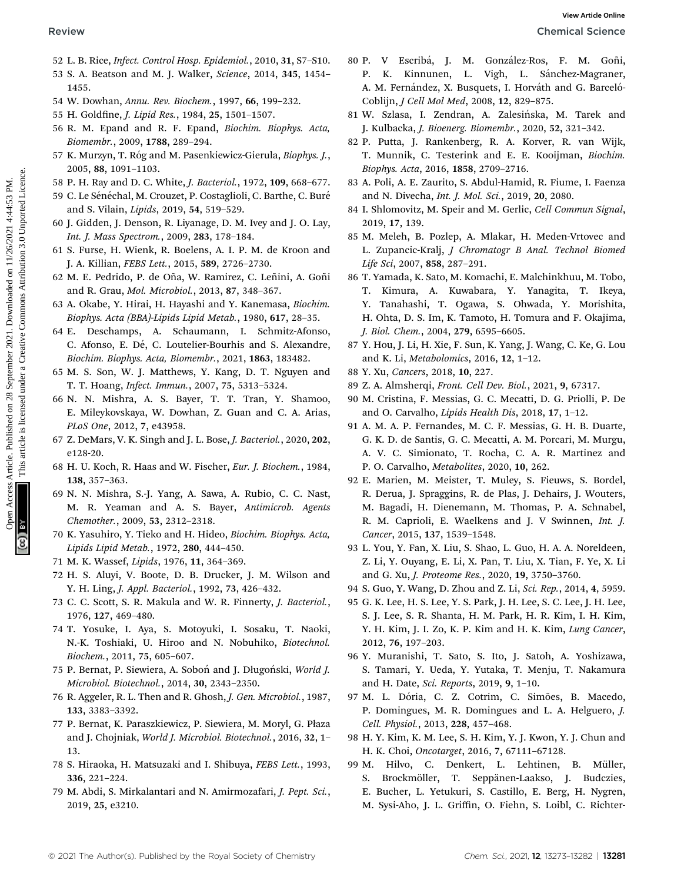- 52 L. B. Rice, Infect. Control Hosp. Epidemiol., 2010, 31, S7–S10.
- 53 S. A. Beatson and M. J. Walker, Science, 2014, 345, 1454– 1455.
- 54 W. Dowhan, Annu. Rev. Biochem., 1997, 66, 199–232.
- 55 H. Goldfine, J. Lipid Res., 1984, 25, 1501-1507.
- 56 R. M. Epand and R. F. Epand, Biochim. Biophys. Acta, Biomembr., 2009, 1788, 289–294.
- 57 K. Murzyn, T. Róg and M. Pasenkiewicz-Gierula, Biophys. J., 2005, 88, 1091–1103.
- 58 P. H. Ray and D. C. White, J. Bacteriol., 1972, 109, 668–677.
- 59 C. Le Sénéchal, M. Crouzet, P. Costaglioli, C. Barthe, C. Buré and S. Vilain, Lipids, 2019, 54, 519–529.
- 60 J. Gidden, J. Denson, R. Liyanage, D. M. Ivey and J. O. Lay, Int. J. Mass Spectrom., 2009, 283, 178–184.
- 61 S. Furse, H. Wienk, R. Boelens, A. I. P. M. de Kroon and J. A. Killian, FEBS Lett., 2015, 589, 2726–2730.
- 62 M. E. Pedrido, P. de Oña, W. Ramirez, C. Leñini, A. Goñi and R. Grau, Mol. Microbiol., 2013, 87, 348–367.
- 63 A. Okabe, Y. Hirai, H. Hayashi and Y. Kanemasa, Biochim. Biophys. Acta (BBA)-Lipids Lipid Metab., 1980, 617, 28–35.
- 64 E. Deschamps, A. Schaumann, I. Schmitz-Afonso, C. Afonso, E. Dé, C. Loutelier-Bourhis and S. Alexandre, Biochim. Biophys. Acta, Biomembr., 2021, 1863, 183482.
- 65 M. S. Son, W. J. Matthews, Y. Kang, D. T. Nguyen and T. T. Hoang, Infect. Immun., 2007, 75, 5313–5324.
- 66 N. N. Mishra, A. S. Bayer, T. T. Tran, Y. Shamoo, E. Mileykovskaya, W. Dowhan, Z. Guan and C. A. Arias, PLoS One, 2012, 7, e43958.
- 67 Z. DeMars, V. K. Singh and J. L. Bose, J. Bacteriol., 2020, 202, e128-20.
- 68 H. U. Koch, R. Haas and W. Fischer, Eur. J. Biochem., 1984, 138, 357–363.
- 69 N. N. Mishra, S.-J. Yang, A. Sawa, A. Rubio, C. C. Nast, M. R. Yeaman and A. S. Bayer, Antimicrob. Agents Chemother., 2009, 53, 2312–2318.
- 70 K. Yasuhiro, Y. Tieko and H. Hideo, Biochim. Biophys. Acta, Lipids Lipid Metab., 1972, 280, 444–450.
- 71 M. K. Wassef, Lipids, 1976, 11, 364–369.
- 72 H. S. Aluyi, V. Boote, D. B. Drucker, J. M. Wilson and Y. H. Ling, J. Appl. Bacteriol., 1992, 73, 426–432.
- 73 C. C. Scott, S. R. Makula and W. R. Finnerty, J. Bacteriol., 1976, 127, 469–480.
- 74 T. Yosuke, I. Aya, S. Motoyuki, I. Sosaku, T. Naoki, N.-K. Toshiaki, U. Hiroo and N. Nobuhiko, Biotechnol. Biochem., 2011, 75, 605–607.
- 75 P. Bernat, P. Siewiera, A. Soboń and J. Długoński, World J. Microbiol. Biotechnol., 2014, 30, 2343–2350.
- 76 R. Aggeler, R. L. Then and R. Ghosh, J. Gen. Microbiol., 1987, 133, 3383–3392.
- 77 P. Bernat, K. Paraszkiewicz, P. Siewiera, M. Moryl, G. Płaza and J. Chojniak, World J. Microbiol. Biotechnol., 2016, 32, 1– 13.
- 78 S. Hiraoka, H. Matsuzaki and I. Shibuya, FEBS Lett., 1993, 336, 221–224.
- 79 M. Abdi, S. Mirkalantari and N. Amirmozafari, J. Pept. Sci., 2019, 25, e3210.
- 80 P. V Escribá, J. M. González-Ros, F. M. Goñi, P. K. Kinnunen, L. Vigh, L. Sánchez-Magraner, A. M. Fernández, X. Busquets, I. Horváth and G. Barceló-Coblijn, J Cell Mol Med, 2008, 12, 829–875.
- 81 W. Szlasa, I. Zendran, A. Zalesińska, M. Tarek and J. Kulbacka, J. Bioenerg. Biomembr., 2020, 52, 321–342.
- 82 P. Putta, J. Rankenberg, R. A. Korver, R. van Wijk, T. Munnik, C. Testerink and E. E. Kooijman, Biochim. Biophys. Acta, 2016, 1858, 2709–2716.
- 83 A. Poli, A. E. Zaurito, S. Abdul-Hamid, R. Fiume, I. Faenza and N. Divecha, Int. J. Mol. Sci., 2019, 20, 2080.
- 84 I. Shlomovitz, M. Speir and M. Gerlic, Cell Commun Signal, 2019, 17, 139.
- 85 M. Meleh, B. Pozlep, A. Mlakar, H. Meden-Vrtovec and L. Zupancic-Kralj, J Chromatogr B Anal. Technol Biomed Life Sci, 2007, 858, 287–291.
- 86 T. Yamada, K. Sato, M. Komachi, E. Malchinkhuu, M. Tobo, T. Kimura, A. Kuwabara, Y. Yanagita, T. Ikeya, Y. Tanahashi, T. Ogawa, S. Ohwada, Y. Morishita, H. Ohta, D. S. Im, K. Tamoto, H. Tomura and F. Okajima, J. Biol. Chem., 2004, 279, 6595–6605. Review Common Review Common Review Articles. 2013, 13, 14:53 PM. This article 2021. Downloaded on 28 A. Marticles. 2014, 14:54:53 PM. This article is licensed under a Creative Commons Article is licensed under a Creative
	- 87 Y. Hou, J. Li, H. Xie, F. Sun, K. Yang, J. Wang, C. Ke, G. Lou and K. Li, Metabolomics, 2016, 12, 1–12.
	- 88 Y. Xu, Cancers, 2018, 10, 227.
	- 89 Z. A. Almsherqi, Front. Cell Dev. Biol., 2021, 9, 67317.
	- 90 M. Cristina, F. Messias, G. C. Mecatti, D. G. Priolli, P. De and O. Carvalho, Lipids Health Dis, 2018, 17, 1–12.
	- 91 A. M. A. P. Fernandes, M. C. F. Messias, G. H. B. Duarte, G. K. D. de Santis, G. C. Mecatti, A. M. Porcari, M. Murgu, A. V. C. Simionato, T. Rocha, C. A. R. Martinez and P. O. Carvalho, Metabolites, 2020, 10, 262.
	- 92 E. Marien, M. Meister, T. Muley, S. Fieuws, S. Bordel, R. Derua, J. Spraggins, R. de Plas, J. Dehairs, J. Wouters, M. Bagadi, H. Dienemann, M. Thomas, P. A. Schnabel, R. M. Caprioli, E. Waelkens and J. V Swinnen, Int. J. Cancer, 2015, 137, 1539–1548.
	- 93 L. You, Y. Fan, X. Liu, S. Shao, L. Guo, H. A. A. Noreldeen, Z. Li, Y. Ouyang, E. Li, X. Pan, T. Liu, X. Tian, F. Ye, X. Li and G. Xu, J. Proteome Res., 2020, 19, 3750–3760.
	- 94 S. Guo, Y. Wang, D. Zhou and Z. Li, Sci. Rep., 2014, 4, 5959.
	- 95 G. K. Lee, H. S. Lee, Y. S. Park, J. H. Lee, S. C. Lee, J. H. Lee, S. J. Lee, S. R. Shanta, H. M. Park, H. R. Kim, I. H. Kim, Y. H. Kim, J. I. Zo, K. P. Kim and H. K. Kim, Lung Cancer, 2012, 76, 197–203.
	- 96 Y. Muranishi, T. Sato, S. Ito, J. Satoh, A. Yoshizawa, S. Tamari, Y. Ueda, Y. Yutaka, T. Menju, T. Nakamura and H. Date, Sci. Reports, 2019, 9, 1–10.
	- 97 M. L. Dória, C. Z. Cotrim, C. Simões, B. Macedo, P. Domingues, M. R. Domingues and L. A. Helguero, J. Cell. Physiol., 2013, 228, 457–468.
	- 98 H. Y. Kim, K. M. Lee, S. H. Kim, Y. J. Kwon, Y. J. Chun and H. K. Choi, Oncotarget, 2016, 7, 67111–67128.
	- 99 M. Hilvo, C. Denkert, L. Lehtinen, B. Müller, S. Brockmöller, T. Seppänen-Laakso, J. Budczies, E. Bucher, L. Yetukuri, S. Castillo, E. Berg, H. Nygren, M. Sysi-Aho, J. L. Griffin, O. Fiehn, S. Loibl, C. Richter-